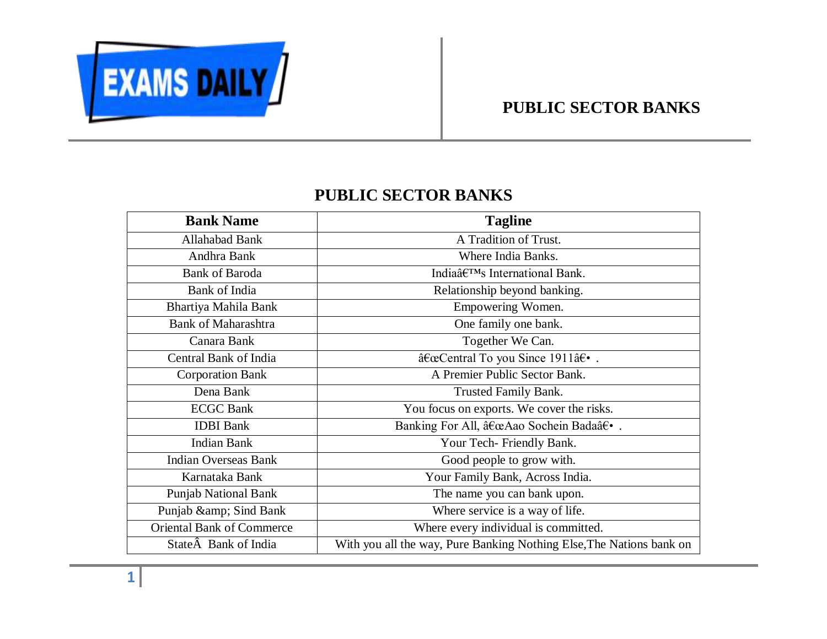

## **PUBLIC SECTOR BANKS**

## **PUBLIC SECTOR BANKS**

| <b>Bank Name</b>                 | <b>Tagline</b>                                                       |
|----------------------------------|----------------------------------------------------------------------|
| Allahabad Bank                   | A Tradition of Trust.                                                |
| Andhra Bank                      | Where India Banks.                                                   |
| <b>Bank of Baroda</b>            | India's International Bank.                                          |
| Bank of India                    | Relationship beyond banking.                                         |
| Bhartiya Mahila Bank             | Empowering Women.                                                    |
| <b>Bank of Maharashtra</b>       | One family one bank.                                                 |
| Canara Bank                      | Together We Can.                                                     |
| Central Bank of India            | "Central To you Since 1911†•.                                        |
| <b>Corporation Bank</b>          | A Premier Public Sector Bank.                                        |
| Dena Bank                        | Trusted Family Bank.                                                 |
| <b>ECGC Bank</b>                 | You focus on exports. We cover the risks.                            |
| <b>IDBI</b> Bank                 | Banking For All, "Aao Sochein Bada†•.                                |
| <b>Indian Bank</b>               | Your Tech- Friendly Bank.                                            |
| <b>Indian Overseas Bank</b>      | Good people to grow with.                                            |
| Karnataka Bank                   | Your Family Bank, Across India.                                      |
| <b>Punjab National Bank</b>      | The name you can bank upon.                                          |
| Punjab & amp; Sind Bank          | Where service is a way of life.                                      |
| <b>Oriental Bank of Commerce</b> | Where every individual is committed.                                 |
| State Bank of India              | With you all the way, Pure Banking Nothing Else, The Nations bank on |